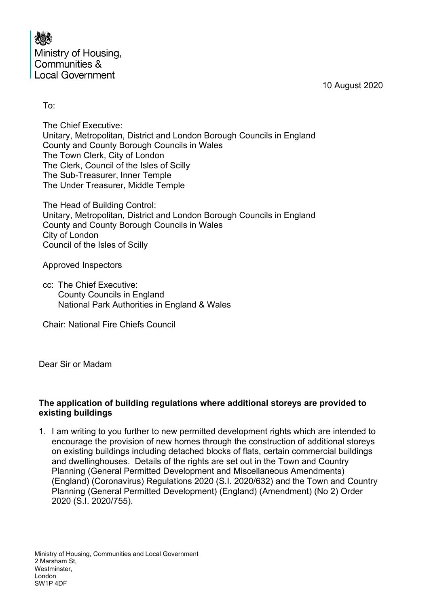| 大家                      |
|-------------------------|
| Ministry of Housing,    |
| Communities &           |
| <b>Local Government</b> |

10 August 2020

To:

The Chief Executive: Unitary, Metropolitan, District and London Borough Councils in England County and County Borough Councils in Wales The Town Clerk, City of London The Clerk, Council of the Isles of Scilly The Sub-Treasurer, Inner Temple The Under Treasurer, Middle Temple

The Head of Building Control: Unitary, Metropolitan, District and London Borough Councils in England County and County Borough Councils in Wales City of London Council of the Isles of Scilly

Approved Inspectors

cc: The Chief Executive: County Councils in England National Park Authorities in England & Wales

Chair: National Fire Chiefs Council

Dear Sir or Madam

### **The application of building regulations where additional storeys are provided to existing buildings**

1. I am writing to you further to new permitted development rights which are intended to encourage the provision of new homes through the construction of additional storeys on existing buildings including detached blocks of flats, certain commercial buildings and dwellinghouses. Details of the rights are set out in the Town and Country Planning (General Permitted Development and Miscellaneous Amendments) (England) (Coronavirus) Regulations 2020 (S.I. 2020/632) and the Town and Country Planning (General Permitted Development) (England) (Amendment) (No 2) Order 2020 (S.I. 2020/755).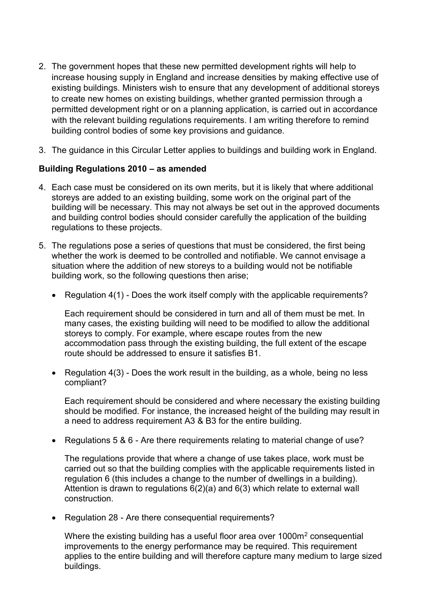- 2. The government hopes that these new permitted development rights will help to increase housing supply in England and increase densities by making effective use of existing buildings. Ministers wish to ensure that any development of additional storeys to create new homes on existing buildings, whether granted permission through a permitted development right or on a planning application, is carried out in accordance with the relevant building regulations requirements. I am writing therefore to remind building control bodies of some key provisions and guidance.
- 3. The guidance in this Circular Letter applies to buildings and building work in England.

# **Building Regulations 2010 – as amended**

- 4. Each case must be considered on its own merits, but it is likely that where additional storeys are added to an existing building, some work on the original part of the building will be necessary. This may not always be set out in the approved documents and building control bodies should consider carefully the application of the building regulations to these projects.
- 5. The regulations pose a series of questions that must be considered, the first being whether the work is deemed to be controlled and notifiable. We cannot envisage a situation where the addition of new storeys to a building would not be notifiable building work, so the following questions then arise;
	- Regulation 4(1) Does the work itself comply with the applicable requirements?

Each requirement should be considered in turn and all of them must be met. In many cases, the existing building will need to be modified to allow the additional storeys to comply. For example, where escape routes from the new accommodation pass through the existing building, the full extent of the escape route should be addressed to ensure it satisfies B1.

• Regulation 4(3) - Does the work result in the building, as a whole, being no less compliant?

Each requirement should be considered and where necessary the existing building should be modified. For instance, the increased height of the building may result in a need to address requirement A3 & B3 for the entire building.

• Regulations 5 & 6 - Are there requirements relating to material change of use?

The regulations provide that where a change of use takes place, work must be carried out so that the building complies with the applicable requirements listed in regulation 6 (this includes a change to the number of dwellings in a building). Attention is drawn to regulations 6(2)(a) and 6(3) which relate to external wall construction.

• Regulation 28 - Are there consequential requirements?

Where the existing building has a useful floor area over 1000m<sup>2</sup> consequential improvements to the energy performance may be required. This requirement applies to the entire building and will therefore capture many medium to large sized buildings.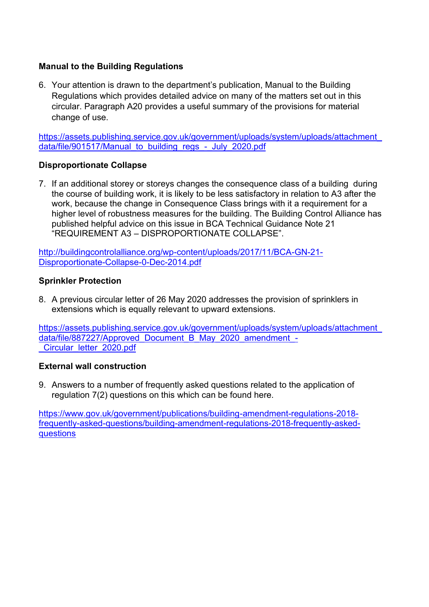## **Manual to the Building Regulations**

6. Your attention is drawn to the department's publication, Manual to the Building Regulations which provides detailed advice on many of the matters set out in this circular. Paragraph A20 provides a useful summary of the provisions for material change of use.

[https://assets.publishing.service.gov.uk/government/uploads/system/uploads/attachment\\_](https://assets.publishing.service.gov.uk/government/uploads/system/uploads/attachment_data/file/901517/Manual_to_building_regs_-_July_2020.pdf) [data/file/901517/Manual\\_to\\_building\\_regs\\_-\\_July\\_2020.pdf](https://assets.publishing.service.gov.uk/government/uploads/system/uploads/attachment_data/file/901517/Manual_to_building_regs_-_July_2020.pdf)

### **Disproportionate Collapse**

7. If an additional storey or storeys changes the consequence class of a building during the course of building work, it is likely to be less satisfactory in relation to A3 after the work, because the change in Consequence Class brings with it a requirement for a higher level of robustness measures for the building. The Building Control Alliance has published helpful advice on this issue in BCA Technical Guidance Note 21 "REQUIREMENT A3 – DISPROPORTIONATE COLLAPSE".

[http://buildingcontrolalliance.org/wp-content/uploads/2017/11/BCA-GN-21-](http://buildingcontrolalliance.org/wp-content/uploads/2017/11/BCA-GN-21-Disproportionate-Collapse-0-Dec-2014.pdf) [Disproportionate-Collapse-0-Dec-2014.pdf](http://buildingcontrolalliance.org/wp-content/uploads/2017/11/BCA-GN-21-Disproportionate-Collapse-0-Dec-2014.pdf)

### **Sprinkler Protection**

8. A previous circular letter of 26 May 2020 addresses the provision of sprinklers in extensions which is equally relevant to upward extensions.

[https://assets.publishing.service.gov.uk/government/uploads/system/uploads/attachment\\_](https://assets.publishing.service.gov.uk/government/uploads/system/uploads/attachment_data/file/887227/Approved_Document_B_May_2020_amendment_-_Circular_letter_2020.pdf) [data/file/887227/Approved\\_Document\\_B\\_May\\_2020\\_amendment\\_-](https://assets.publishing.service.gov.uk/government/uploads/system/uploads/attachment_data/file/887227/Approved_Document_B_May_2020_amendment_-_Circular_letter_2020.pdf) [\\_Circular\\_letter\\_2020.pdf](https://assets.publishing.service.gov.uk/government/uploads/system/uploads/attachment_data/file/887227/Approved_Document_B_May_2020_amendment_-_Circular_letter_2020.pdf)

#### **External wall construction**

9. Answers to a number of frequently asked questions related to the application of regulation 7(2) questions on this which can be found [here.](https://www.gov.uk/government/publications/building-amendment-regulations-2018-frequently-asked-questions/building-amendment-regulations-2018-frequently-asked-questions)

[https://www.gov.uk/government/publications/building-amendment-regulations-2018](https://www.gov.uk/government/publications/building-amendment-regulations-2018-frequently-asked-questions/building-amendment-regulations-2018-frequently-asked-questions) [frequently-asked-questions/building-amendment-regulations-2018-frequently-asked](https://www.gov.uk/government/publications/building-amendment-regulations-2018-frequently-asked-questions/building-amendment-regulations-2018-frequently-asked-questions)[questions](https://www.gov.uk/government/publications/building-amendment-regulations-2018-frequently-asked-questions/building-amendment-regulations-2018-frequently-asked-questions)